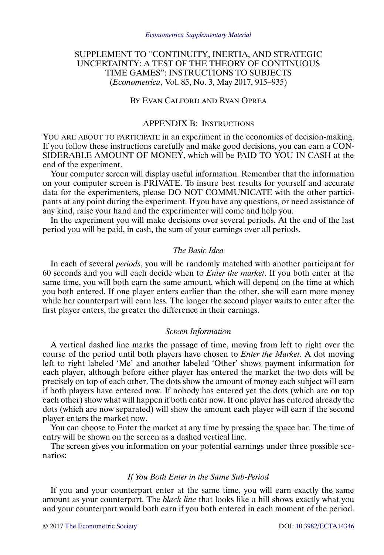# SUPPLEMENT TO "CONTINUITY, INERTIA, AND STRATEGIC UNCERTAINTY: A TEST OF THE THEORY OF CONTINUOUS TIME GAMES": INSTRUCTIONS TO SUBJECTS (*Econometrica*, Vol. 85, No. 3, May 2017, 915–935)

# BY EVAN CALFORD AND RYAN OPREA

# APPENDIX B: INSTRUCTIONS

YOU ARE ABOUT TO PARTICIPATE in an experiment in the economics of decision-making. If you follow these instructions carefully and make good decisions, you can earn a CON-SIDERABLE AMOUNT OF MONEY, which will be PAID TO YOU IN CASH at the end of the experiment.

Your computer screen will display useful information. Remember that the information on your computer screen is PRIVATE. To insure best results for yourself and accurate data for the experimenters, please DO NOT COMMUNICATE with the other participants at any point during the experiment. If you have any questions, or need assistance of any kind, raise your hand and the experimenter will come and help you.

In the experiment you will make decisions over several periods. At the end of the last period you will be paid, in cash, the sum of your earnings over all periods.

# *The Basic Idea*

In each of several *periods*, you will be randomly matched with another participant for 60 seconds and you will each decide when to *Enter the market*. If you both enter at the same time, you will both earn the same amount, which will depend on the time at which you both entered. If one player enters earlier than the other, she will earn more money while her counterpart will earn less. The longer the second player waits to enter after the first player enters, the greater the difference in their earnings.

# *Screen Information*

A vertical dashed line marks the passage of time, moving from left to right over the course of the period until both players have chosen to *Enter the Market*. A dot moving left to right labeled 'Me' and another labeled 'Other' shows payment information for each player, although before either player has entered the market the two dots will be precisely on top of each other. The dots show the amount of money each subject will earn if both players have entered now. If nobody has entered yet the dots (which are on top each other) show what will happen if both enter now. If one player has entered already the dots (which are now separated) will show the amount each player will earn if the second player enters the market now.

You can choose to Enter the market at any time by pressing the space bar. The time of entry will be shown on the screen as a dashed vertical line.

The screen gives you information on your potential earnings under three possible scenarios:

# *If You Both Enter in the Same Sub-Period*

If you and your counterpart enter at the same time, you will earn exactly the same amount as your counterpart. The *black line* that looks like a hill shows exactly what you and your counterpart would both earn if you both entered in each moment of the period.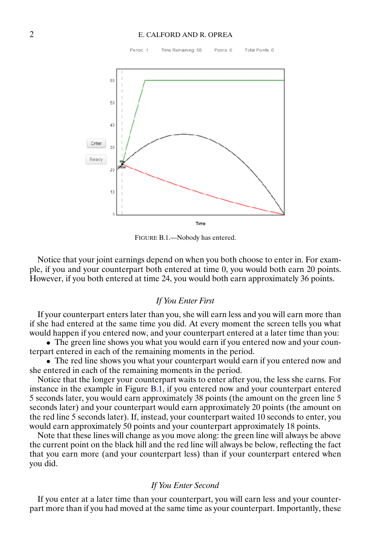# <span id="page-1-0"></span>2 E. CALFORD AND R. OPREA



FIGURE B.1.—Nobody has entered.

Notice that your joint earnings depend on when you both choose to enter in. For example, if you and your counterpart both entered at time 0, you would both earn 20 points. However, if you both entered at time 24, you would both earn approximately 36 points.

# *If You Enter First*

If your counterpart enters later than you, she will earn less and you will earn more than if she had entered at the same time you did. At every moment the screen tells you what would happen if you entered now, and your counterpart entered at a later time than you:

• The green line shows you what you would earn if you entered now and your counterpart entered in each of the remaining moments in the period.

• The red line shows you what your counterpart would earn if you entered now and she entered in each of the remaining moments in the period.

Notice that the longer your counterpart waits to enter after you, the less she earns. For instance in the example in Figure B.1, if you entered now and your counterpart entered 5 seconds later, you would earn approximately 38 points (the amount on the green line 5 seconds later) and your counterpart would earn approximately 20 points (the amount on the red line 5 seconds later). If, instead, your counterpart waited 10 seconds to enter, you would earn approximately 50 points and your counterpart approximately 18 points.

Note that these lines will change as you move along: the green line will always be above the current point on the black hill and the red line will always be below, reflecting the fact that you earn more (and your counterpart less) than if your counterpart entered when you did.

# *If You Enter Second*

If you enter at a later time than your counterpart, you will earn less and your counterpart more than if you had moved at the same time as your counterpart. Importantly, these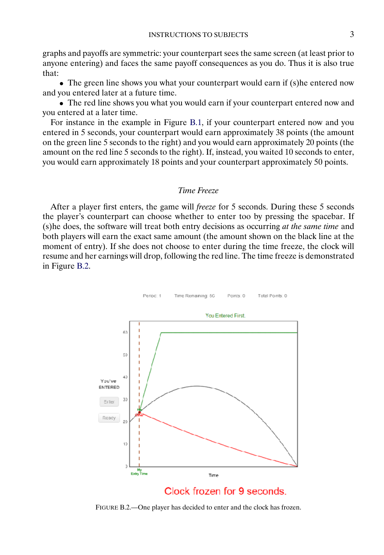graphs and payoffs are symmetric: your counterpart sees the same screen (at least prior to anyone entering) and faces the same payoff consequences as you do. Thus it is also true that:

• The green line shows you what your counterpart would earn if (s)he entered now and you entered later at a future time.

• The red line shows you what you would earn if your counterpart entered now and you entered at a later time.

For instance in the example in Figure [B.1,](#page-1-0) if your counterpart entered now and you entered in 5 seconds, your counterpart would earn approximately 38 points (the amount on the green line 5 seconds to the right) and you would earn approximately 20 points (the amount on the red line 5 seconds to the right). If, instead, you waited 10 seconds to enter, you would earn approximately 18 points and your counterpart approximately 50 points.

### *Time Freeze*

After a player first enters, the game will *freeze* for 5 seconds. During these 5 seconds the player's counterpart can choose whether to enter too by pressing the spacebar. If (s)he does, the software will treat both entry decisions as occurring *at the same time* and both players will earn the exact same amount (the amount shown on the black line at the moment of entry). If she does not choose to enter during the time freeze, the clock will resume and her earnings will drop, following the red line. The time freeze is demonstrated in Figure B.2.



FIGURE B.2.—One player has decided to enter and the clock has frozen.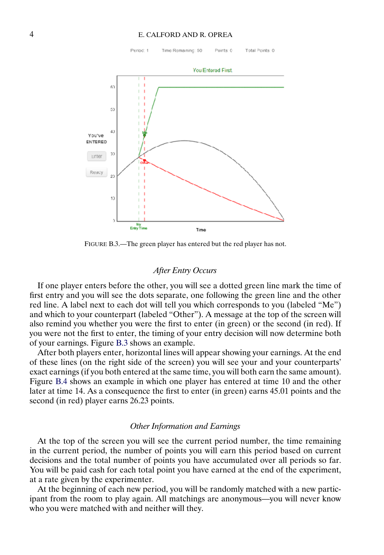#### 4 E. CALFORD AND R. OPREA



FIGURE B.3.—The green player has entered but the red player has not.

# *After Entry Occurs*

If one player enters before the other, you will see a dotted green line mark the time of first entry and you will see the dots separate, one following the green line and the other red line. A label next to each dot will tell you which corresponds to you (labeled "Me") and which to your counterpart (labeled "Other"). A message at the top of the screen will also remind you whether you were the first to enter (in green) or the second (in red). If you were not the first to enter, the timing of your entry decision will now determine both of your earnings. Figure B.3 shows an example.

After both players enter, horizontal lines will appear showing your earnings. At the end of these lines (on the right side of the screen) you will see your and your counterparts' exact earnings (if you both entered at the same time, you will both earn the same amount). Figure [B.4](#page-4-0) shows an example in which one player has entered at time 10 and the other later at time 14. As a consequence the first to enter (in green) earns 45.01 points and the second (in red) player earns 26.23 points.

# *Other Information and Earnings*

At the top of the screen you will see the current period number, the time remaining in the current period, the number of points you will earn this period based on current decisions and the total number of points you have accumulated over all periods so far. You will be paid cash for each total point you have earned at the end of the experiment, at a rate given by the experimenter.

At the beginning of each new period, you will be randomly matched with a new participant from the room to play again. All matchings are anonymous—you will never know who you were matched with and neither will they.